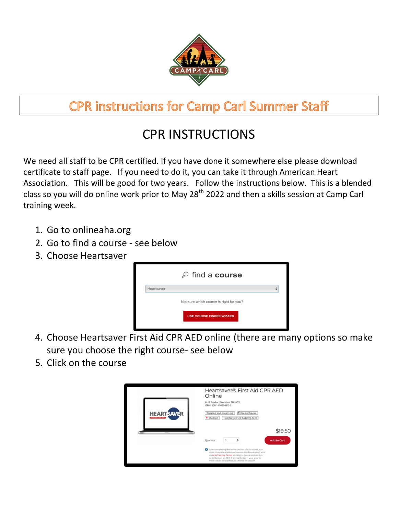

## **CPR instructions for Camp Carl Summer Staff**

## CPR INSTRUCTIONS

We need all staff to be CPR certified. If you have done it somewhere else please download certificate to staff page. If you need to do it, you can take it through American Heart Association. This will be good for two years. Follow the instructions below. This is a blended class so you will do online work prior to May 28<sup>th</sup> 2022 and then a skills session at Camp Carl training week.

- 1. Go to onlineaha.org
- 2. Go to find a course see below
- 3. Choose Heartsaver



- 4. Choose Heartsaver First Aid CPR AED online (there are many options so make sure you choose the right course- see below
- 5. Click on the course